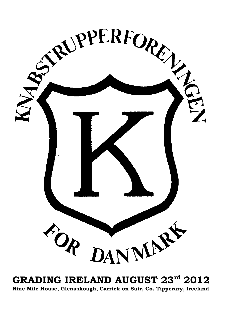

# **GRADING IRELAND AUGUST 23rd 2012**

**Nine Mile House, Glenaskough, Carrick on Suir, Co. Tipperary, Ireeland**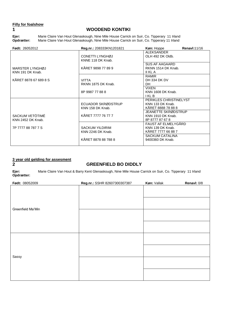#### **Filly for foalshow**

### **1 WOODEND KONTIKI**

**Ejer:** Marie Claire Van Hout Glenaskough, Nine Mile House Carrick on Suir, Co. Tipperary 11 Irland **Opdrætter:** Marie Claire Van Hout Glenaskough, Nine Mile House Carrick on Suir, Co. Tipperary 11 Irland

| <b>Født: 26052012</b>                | Reg.nr.: 208333KN1201821                    | <b>Køn:</b> Hoppe                                                | <b>Renavl:11/16</b> |
|--------------------------------------|---------------------------------------------|------------------------------------------------------------------|---------------------|
|                                      | CONETTI LYNGHØJ<br>KNNE 118 DK Knab.        | <b>ALEKSANDER</b><br>OLH 492 DK Oldb.                            |                     |
| MARSTER LYNGHØJ<br>KNN 191 DK Knab.  | KÅRET 9898 77 89 9                          | <b>SUS AF AAGAARD</b><br>RKNN 1514 DK Knab.<br>II KL A           |                     |
| KÅRET 8878 67 689 8 S                | <b>VITTA</b><br>RKNN 1875 DK Knab.          | <b>RAMIR</b><br>DH 334 DK DV<br>DH.                              |                     |
|                                      | 8P 9987 77 88 8                             | <b>VIXEN</b><br><b>KNN 1608 DK Knab.</b><br>I KL B               |                     |
|                                      | ECUADOR SKRØDSTRUP<br>KNN 158 DK Knab.      | PERIKLES CHRISTINELYST<br>KNN 133 DK Knab.<br>KÅRET 8888 78 88 8 |                     |
| SACKUM VETÖTIMÉ<br>KNN 2452 DK Knab. | KÅRET 7777 76 77 7                          | JEANETTE SKRØDSTRUP<br>KNN 1910 DK Knab.<br>8P 8777 87 67 8      |                     |
| 7P 7777 88 787 7 S                   | <b>SACKUM YILDIRIM</b><br>KNN 2246 DK Knab. | FAUST AF ELMELYGÅRD<br>KNN 139 DK Knab.<br>KÅRET 7777 66 88 7    |                     |
|                                      | KÅRET 8878 88 788 8                         | SACKUM CATALINA<br>9400360 DK Knab.                              |                     |

## **3 year old gelding for assesment**

### **2 GREENFIELD BO DIDDLY**

**Ejer:** Marie Claire Van Hout & Barry Kent Glenaskough, Nine Mile House Carrick on Suir, Co. Tipperary 11 Irland **Opdrætter:**

| Født: 08052009    | Reg.nr.: SSHR 82607300307387 | Køn: Vallak | Renavl: 0/8 |
|-------------------|------------------------------|-------------|-------------|
| Greenfield Ma'Min |                              |             |             |
|                   |                              |             |             |
|                   |                              |             |             |
| Sassy             |                              |             |             |
|                   |                              |             |             |
|                   |                              |             |             |
|                   |                              |             |             |